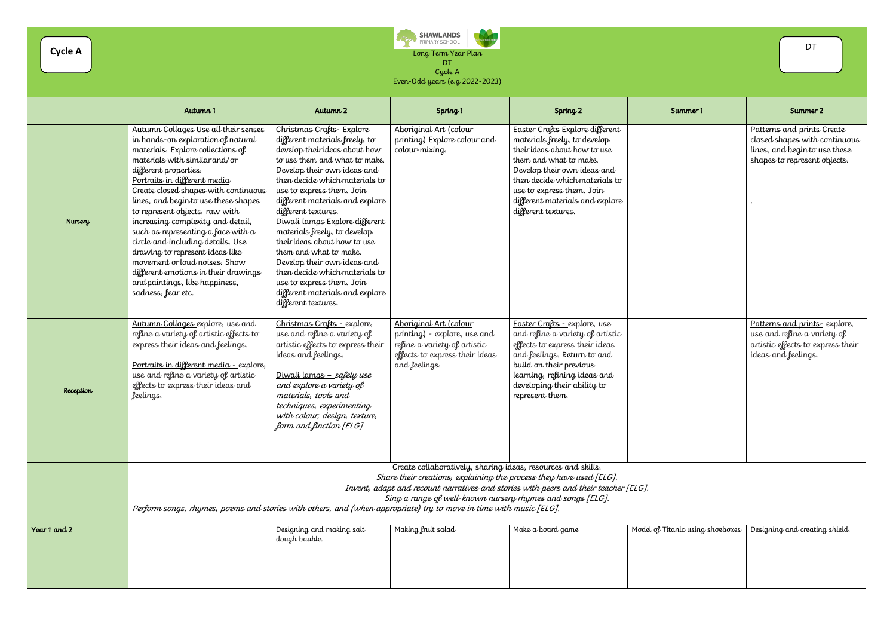R TOGETHER SHAWLANDS<br>PRIMARY SCHOOL **CRA** Long Term Year Plan DT Cycle A Even-Odd years (e.g 2022-2023)

|                | Autumn 1                                                                                                                                                                                                                                                                                                                                                                                                                                                                                                                                                                                                        | Autumn 2                                                                                                                                                                                                                                                                                                                                                                                                                                                                                                                                                                | Spring 1                                                                                                                                                                                          | Spring <sub>2</sub>                                                                                                                                                                                                                                                               | Summer 1                         | Summer 2                                                                                                                   |
|----------------|-----------------------------------------------------------------------------------------------------------------------------------------------------------------------------------------------------------------------------------------------------------------------------------------------------------------------------------------------------------------------------------------------------------------------------------------------------------------------------------------------------------------------------------------------------------------------------------------------------------------|-------------------------------------------------------------------------------------------------------------------------------------------------------------------------------------------------------------------------------------------------------------------------------------------------------------------------------------------------------------------------------------------------------------------------------------------------------------------------------------------------------------------------------------------------------------------------|---------------------------------------------------------------------------------------------------------------------------------------------------------------------------------------------------|-----------------------------------------------------------------------------------------------------------------------------------------------------------------------------------------------------------------------------------------------------------------------------------|----------------------------------|----------------------------------------------------------------------------------------------------------------------------|
| <b>Nursery</b> | Autumn Collages Use all their senses<br>in hands-on exploration of natural<br>materials. Explore collections of<br>materials with similar and/or<br>different properties.<br>Portraits in different media<br>Create closed shapes with continuous<br>lines, and begin to use these shapes<br>to represent objects. raw with<br>increasing complexity and detail,<br>such as representing a face with a<br>circle and including details. Use<br>drawing to represent ideas like<br>movement or loud noises. Show<br>different emotions in their drawings<br>and paintings, like happiness,<br>sadness, fear etc. | Christmas Crafts- Explore<br>different materials freely, to<br>develop theirideas about how<br>to use them and what to make.<br>Develop their own ideas and<br>then decide which materials to<br>use to express them. Join<br>different materials and explore<br>different textures.<br>Diwali lamps Explore different<br>materials freely, to develop<br>theirideas about how to use<br>them and what to make.<br>Develop their own ideas and<br>then decide which materials to<br>use to express them. Join<br>different materials and explore<br>different textures. | Aboriginal Art (colour<br>printing) Explore colour and<br>colour-mixing.                                                                                                                          | Easter Crafts Explore different<br>materials freely, to develop<br>their ideas about how to use<br>them and what to make.<br>Develop their own ideas and<br>then decide which materials to<br>use to express them. Join<br>different materials and explore<br>different textures. |                                  | Patterns and prints Create<br>closed shapes with continuo<br>lines, and begin to use these<br>shapes to represent objects. |
| Reception      | Autumn Collages explore, use and<br>refine a variety of artistic effects to<br>express their ideas and feelings.<br>Portraits in different media - explore,<br>use and refine a variety of artistic<br>effects to express their ideas and<br>feelings.                                                                                                                                                                                                                                                                                                                                                          | Christmas Crafts - explore,<br>use and refine a variety of<br>artistic effects to express their<br>ideas and feelings.<br><u> Diwali lamps – safely use</u><br>and explore a variety of<br>materials, tools and<br>techniques, experimenting<br>with colour, design, texture,<br>form and finction [ELG]                                                                                                                                                                                                                                                                | Aboriginal Art (colour<br>printing) - explore, use and<br>refine a variety of artistic<br>effects to express their ideas<br>and feelings.                                                         | Easter Crafts - explore, use<br>and refine a variety of artistic<br>effects to express their ideas<br>and feelings. Return to and<br>build on their previous<br>learning, refining ideas and<br>developing their ability to<br>represent them.                                    |                                  | Patterns and prints- explore<br>use and refine a variety of<br>artistic effects to express the<br>ideas and feelings.      |
|                | Perform songs, rhymes, poems and stories with others, and (when appropriate) try to move in time with music [ELG].                                                                                                                                                                                                                                                                                                                                                                                                                                                                                              |                                                                                                                                                                                                                                                                                                                                                                                                                                                                                                                                                                         | Create collaboratively, sharing ideas, resources and skills.<br>Share their creations, explaining the process they have used [ELG].<br>Sing a range of well-known nursery rhymes and songs [ELG]. | Invent, adapt and recount narratives and stories with peers and their teacher [ELG].                                                                                                                                                                                              |                                  |                                                                                                                            |
| Year 1 and 2   |                                                                                                                                                                                                                                                                                                                                                                                                                                                                                                                                                                                                                 | Designing and making salt<br>dough bauble.                                                                                                                                                                                                                                                                                                                                                                                                                                                                                                                              | Making fruit salad                                                                                                                                                                                | Make a board game                                                                                                                                                                                                                                                                 | Model of Titanic using shoeboxes | Designing and creating shield.                                                                                             |

|                     | DT                                                                                                                                                                                                                                                      |
|---------------------|---------------------------------------------------------------------------------------------------------------------------------------------------------------------------------------------------------------------------------------------------------|
| ummer 1             | Summer 2                                                                                                                                                                                                                                                |
|                     | Patterns and prints Create<br>closed shapes with continuous<br>lines, and beginto use these<br>shapes to represent objects.<br>Patterns and prints- explore,<br>use and refine a variety of<br>artistic effects to express their<br>ideas and feelings. |
|                     |                                                                                                                                                                                                                                                         |
| nic using shoeboxes | Designing and creating shield.                                                                                                                                                                                                                          |

**Cycle A**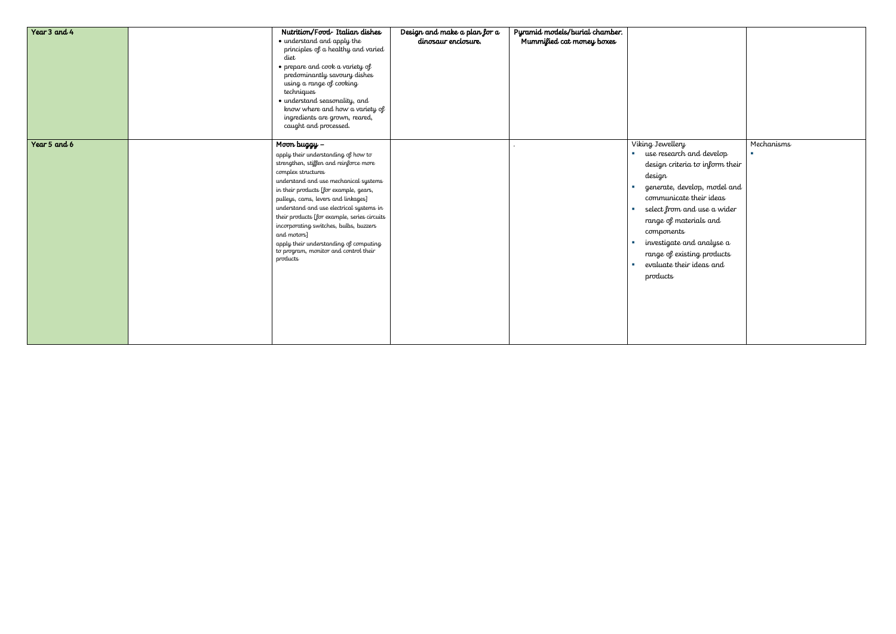| Year 3 and 4 | Nutrition/Food-Italian dishes<br>• understand and apply the<br>principles of a healthy and varied<br>diet<br>$\bullet$ prepare and cook a variety of<br>predominantly savoury dishes<br>using a range of cooking<br>techniques<br>· understand seasonality, and<br>know where and how a variety of<br>ingredients are grown, reared,<br>caught and processed.                                                                                                                                     | Design and make a plan for a<br>dinosaur enclosure. | Pyramid models/burial chamber.<br>Mummified cat money boxes |                                                                                                                                                                                                                                                                                                                                                                      |                  |
|--------------|---------------------------------------------------------------------------------------------------------------------------------------------------------------------------------------------------------------------------------------------------------------------------------------------------------------------------------------------------------------------------------------------------------------------------------------------------------------------------------------------------|-----------------------------------------------------|-------------------------------------------------------------|----------------------------------------------------------------------------------------------------------------------------------------------------------------------------------------------------------------------------------------------------------------------------------------------------------------------------------------------------------------------|------------------|
| Year 5 and 6 | Moon buggy –<br>apply their understanding of how to<br>strengthen, stiffen and reinforce more<br>complex structures<br>understand and use mechanical systems<br>in their products [for example, gears,<br>pulleys, cams, levers and linkages]<br>understand and use electrical systems in<br>their products [for example, series circuits<br>incorporating switches, bulbs, buzzers<br>and motors]<br>apply their understanding of computing<br>to program, monitor and control their<br>products |                                                     |                                                             | Viking Jewellery<br><b>use research and develop</b><br>design criteria to inform their<br>design<br>generate, develop, model and<br>communicate their ideas<br>select from and use a wider<br>range of materials and<br>components<br>investigate and analyse a<br>range of existing products<br>evaluate their ideas and<br>$\mathcal{L}_{\mathcal{A}}$<br>products | Mechanisms<br>a. |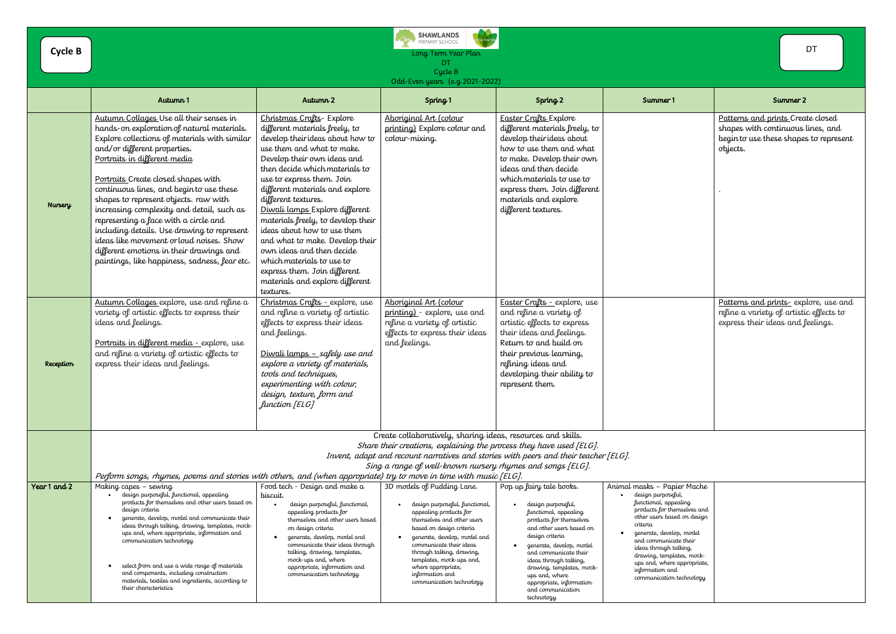|                                                                                                    | DT                                                                                                                          |
|----------------------------------------------------------------------------------------------------|-----------------------------------------------------------------------------------------------------------------------------|
|                                                                                                    | Summer 2                                                                                                                    |
|                                                                                                    | Patterns and prints Create closed<br>shapes with continuous lines, and<br>beginto use these shapes to represent<br>objects. |
|                                                                                                    | Patterns and prints- explore, use and<br>refine a variety of artistic effects to<br>express their ideas and feelings.       |
|                                                                                                    |                                                                                                                             |
| er Mache<br>l,<br>uing<br>rselves and<br>l on design<br>ı, model<br>e their<br>king,<br>:es, mock- |                                                                                                                             |

| <b>Cycle B</b> |                                                                                                                                                                                                                                                                                                                                                                                                                                                                                                                                                                                                                  |                                                                                                                                                                                                                                                                                                                                                                                                                                                                                                                                                                          | <b>SHAWLANDS</b><br>.<br>Kata<br>PRIMARY SCHOOL<br>Long Term Year Plan<br>DT<br>Cycle B<br>Odd-Even years (e.g. 2021-2022)                                                                                                                                                                                                                |                                                                                                                                                                                                                                                                                                             |                                                                                                                                                                                                                                                                                                                                                | <b>DT</b>                                                                                            |
|----------------|------------------------------------------------------------------------------------------------------------------------------------------------------------------------------------------------------------------------------------------------------------------------------------------------------------------------------------------------------------------------------------------------------------------------------------------------------------------------------------------------------------------------------------------------------------------------------------------------------------------|--------------------------------------------------------------------------------------------------------------------------------------------------------------------------------------------------------------------------------------------------------------------------------------------------------------------------------------------------------------------------------------------------------------------------------------------------------------------------------------------------------------------------------------------------------------------------|-------------------------------------------------------------------------------------------------------------------------------------------------------------------------------------------------------------------------------------------------------------------------------------------------------------------------------------------|-------------------------------------------------------------------------------------------------------------------------------------------------------------------------------------------------------------------------------------------------------------------------------------------------------------|------------------------------------------------------------------------------------------------------------------------------------------------------------------------------------------------------------------------------------------------------------------------------------------------------------------------------------------------|------------------------------------------------------------------------------------------------------|
|                | Autumn 1                                                                                                                                                                                                                                                                                                                                                                                                                                                                                                                                                                                                         | Autumn 2                                                                                                                                                                                                                                                                                                                                                                                                                                                                                                                                                                 | Spring <sub>1</sub>                                                                                                                                                                                                                                                                                                                       | Spring <sub>2</sub>                                                                                                                                                                                                                                                                                         | Summer 1                                                                                                                                                                                                                                                                                                                                       | Summer 2                                                                                             |
| <b>Nursery</b> | Autumn Collages Use all their senses in<br>hands-on exploration of natural materials.<br>Explore collections of materials with similar<br>and/or different properties.<br>Portraits in different media<br>Portraits Create closed shapes with<br>continuous lines, and begin to use these<br>shapes to represent objects. raw with<br>increasing complexity and detail, such as<br>representing a face with a circle and<br>including details. Use drawing to represent<br>ideas like movement or loud noises. Show<br>different emotions in their drawings and<br>paintings, like happiness, sadness, fear etc. | Christmas Crafts- Explore<br>different materials freely, to<br>develop theirideas about how to<br>use them and what to make.<br>Develop their own ideas and<br>then decide which materials to<br>use to express them. Join<br>different materials and explore<br>different textures.<br>Diwali lamps Explore different<br>materials freely, to develop their<br>ideas about how to use them<br>and what to make. Develop their<br>own ideas and then decide<br>which materials to use to<br>express them. Join different<br>materials and explore different<br>textures. | Aboriginal Art (colour<br>printing) Explore colour and<br>colour-mixing.                                                                                                                                                                                                                                                                  | <b>Easter Crafts Explore</b><br>different materials freely, to<br>develop theirideas about<br>how to use them and what<br>to make. Develop their own<br>ideas and then decide<br>which materials to use to<br>express them. Join different<br>materials and explore<br>different textures.                  |                                                                                                                                                                                                                                                                                                                                                | Patterns and prints Create<br>shapes with continuous line<br>beginto use these shapes to<br>objects. |
| Reception      | Autumn Collages explore, use and refine a<br>variety of artistic effects to express their<br>ideas and feelings.<br>Portraits in different media - explore, use<br>and refine a variety of artistic effects to<br>express their ideas and feelings.                                                                                                                                                                                                                                                                                                                                                              | Christmas Crafts - explore, use<br>and refine a variety of artistic<br>effects to express their ideas<br>and feelings.<br><u> Diwali lamps – safely use and</u><br>explore a variety of materials,<br>tools and techniques,<br>experimenting with colour,<br>design, texture, form and<br>function [ELG]                                                                                                                                                                                                                                                                 | Aboriginal Art (colour<br>printing) - explore, use and<br>refine a variety of artistic<br>effects to express their ideas<br>and feelings.                                                                                                                                                                                                 | Easter Crafts - explore, use<br>and refine a variety of<br>artistic effects to express<br>their ideas and feelings.<br>Return to and build on<br>their previous learning,<br>refining ideas and<br>developing their ability to<br>represent them.                                                           |                                                                                                                                                                                                                                                                                                                                                | Patterns and prints- explor<br>refine a variety of artistic e<br>express their ideas and feel        |
|                | Perform songs, rhymes, poems and stories with others, and (when appropriate) try to move in time with music [ELG].                                                                                                                                                                                                                                                                                                                                                                                                                                                                                               |                                                                                                                                                                                                                                                                                                                                                                                                                                                                                                                                                                          | Create collaboratively, sharing ideas, resources and skills.<br>Share their creations, explaining the process they have used [ELG].<br>Invent, adapt and recount narratives and stories with peers and their teacher [ELG].<br>Sing a range of well-known nursery rhymes and songs [ELG].                                                 |                                                                                                                                                                                                                                                                                                             |                                                                                                                                                                                                                                                                                                                                                |                                                                                                      |
| Year 1 and 2   | Making capes - sewing<br>design purposeful, functional, appealing<br>products for themselves and other users based on<br>design criteria<br>generate, develop, model and communicate their<br>$\bullet$<br>ideas through talking, drawing, templates, mock-<br>ups and, where appropriate, information and<br>communication technology<br>select from and use a wide range of materials<br>$\bullet$<br>and components, including construction<br>materials, textiles and ingredients, according to                                                                                                              | Food tech - Design and make a<br>biscuit.<br>design purposeful, functional,<br>appealing products for<br>themselves and other users based<br>on design criteria<br>generate, develop, model and<br>$\bullet$<br>communicate their ideas through<br>talking, drawing, templates,<br>mock-ups and, where<br>appropriate, information and<br>communication technology                                                                                                                                                                                                       | 3D models of Pudding Lane.<br>design purposeful, functional,<br>appealing products for<br>themselves and other users<br>based on design criteria<br>generate, develop, model and<br>communicate their ideas<br>through talking, drawing,<br>templates, mock-ups and,<br>where appropriate,<br>information and<br>communication technology | Pop up fairy tale books.<br>design purposeful,<br>functional, appealing<br>products for themselves<br>and other users based on<br>design criteria<br>generate, develop, model<br>and communicate their<br>ideas through talking,<br>drawing, templates, mock-<br>ups and, where<br>appropriate, information | Animal masks - Papier Mache<br>design purposeful,<br>functional, appealing<br>products for themselves and<br>other users based on design<br>criteria<br>generate, develop, model<br>and communicate their<br>ideas through talking,<br>drawing, templates, mock-<br>ups and, where appropriate,<br>information and<br>communication technology |                                                                                                      |

their characteristics

and communication technology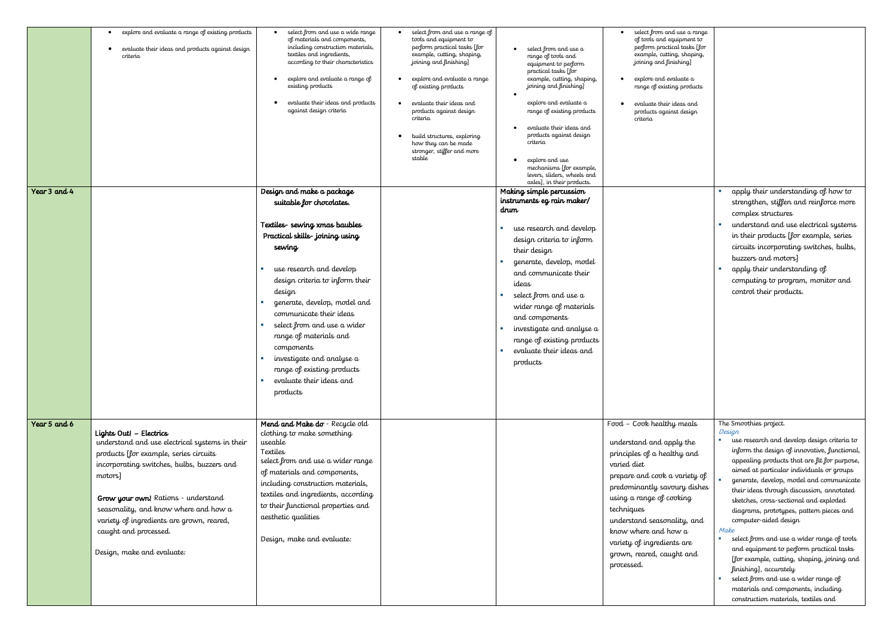|              | explore and evaluate a range of existing products<br>evaluate their ideas and products against design<br>$\bullet$<br>criteria                                                                                                                                                                                                                                   | select from and use a wide range<br>of materials and components,<br>including construction materials,<br>textiles and ingredients,<br>according to their characteristics<br>explore and evaluate a range of<br>existing products<br>evaluate their ideas and products<br>against design criteria                                                                                                                                                | select from and use a range of<br>tools and equipment to<br>perform practical tasks [for<br>example, cutting, shaping,<br>joining and finishing]<br>explore and evaluate a range<br>of existing products<br>evaluate their ideas and<br>products against design<br>criteria<br>build structures, exploring<br>how they can be made<br>stronger, stiffer and more<br>stable | select from and use a<br>range of tools and<br>equipment to perform<br>practical tasks [for<br>example, cutting, shaping,<br>joining and finishing]<br>explore and evaluate a<br>range of existing products<br>evaluate their ideas and<br>products against design<br>criteria<br>explore and use<br>mechanisms [for example,<br>levers, sliders, wheels and<br>axles], in their products.                       | select from and use a range<br>of tools and equipment to<br>perform practical tasks [for<br>example, cutting, shaping,<br>joining and finishing]<br>explore and evaluate a<br>range of existing products<br>evaluate their ideas and<br>products against design<br>criteria                                                                    |                                                                                                                                                                                                                                                                                                                                                                                                                                                                                                                                                                                                                                                                                                                                        |
|--------------|------------------------------------------------------------------------------------------------------------------------------------------------------------------------------------------------------------------------------------------------------------------------------------------------------------------------------------------------------------------|-------------------------------------------------------------------------------------------------------------------------------------------------------------------------------------------------------------------------------------------------------------------------------------------------------------------------------------------------------------------------------------------------------------------------------------------------|----------------------------------------------------------------------------------------------------------------------------------------------------------------------------------------------------------------------------------------------------------------------------------------------------------------------------------------------------------------------------|------------------------------------------------------------------------------------------------------------------------------------------------------------------------------------------------------------------------------------------------------------------------------------------------------------------------------------------------------------------------------------------------------------------|------------------------------------------------------------------------------------------------------------------------------------------------------------------------------------------------------------------------------------------------------------------------------------------------------------------------------------------------|----------------------------------------------------------------------------------------------------------------------------------------------------------------------------------------------------------------------------------------------------------------------------------------------------------------------------------------------------------------------------------------------------------------------------------------------------------------------------------------------------------------------------------------------------------------------------------------------------------------------------------------------------------------------------------------------------------------------------------------|
| Year 3 and 4 |                                                                                                                                                                                                                                                                                                                                                                  | Design and make a package<br>suitable for chocolates.<br>Textiles-sewing xmas baubles<br>Practical skills-joining using<br>sewing<br>use research and develop<br>design criteria to inform their<br>design<br>generate, develop, model and<br>communicate their ideas<br>select from and use a wider<br>range of materials and<br>components<br>investigate and analyse a<br>range of existing products<br>evaluate their ideas and<br>products |                                                                                                                                                                                                                                                                                                                                                                            | Making simple percussion<br>instruments eg rain maker/<br>drum<br>use research and develop<br>×<br>design criteria to inform<br>their design<br>generate, develop, model<br>and communicate their<br>ideas<br>select from and use a<br><b>COL</b><br>wider range of materials<br>and components<br>investigate and analyse a<br><b>COL</b><br>range of existing products<br>evaluate their ideas and<br>products |                                                                                                                                                                                                                                                                                                                                                | apply their understanding of how to<br>strengthen, stiffen and reinforce more<br>complex structures<br>understand and use electrical systems<br>in their products [for example, series<br>circuits incorporating switches, bulbs,<br>buzzers and motors]<br>apply their understanding of<br>computing to program, monitor and<br>control their products.                                                                                                                                                                                                                                                                                                                                                                               |
| Year 5 and 6 | Lights Out! - Electrics<br>understand and use electrical systems in their<br>products [for example, series circuits<br>incorporating switches, bulbs, buzzers and<br>motors]<br>Grow your own! Rations - understand<br>seasonality, and know where and how a<br>variety of ingredients are grown, reared,<br>caught and processed.<br>Design, make and evaluate: | Mend and Make do - Recycle old<br>clothing to make something<br>useable<br>Textiles<br>select from and use a wider range<br>of materials and components,<br>including construction materials,<br>textiles and ingredients, according<br>to their functional properties and<br>aesthetic qualities<br>Design, make and evaluate:                                                                                                                 |                                                                                                                                                                                                                                                                                                                                                                            |                                                                                                                                                                                                                                                                                                                                                                                                                  | Food - Cook healthy meals<br>understand and apply the<br>principles of a healthy and<br>varied diet<br>prepare and cook a variety of<br>predominantly savoury dishes<br>using a range of cooking<br>techniques<br>understand seasonality, and<br>know where and how a<br>variety of ingredients are<br>grown, reared, caught and<br>processed. | The Smoothies project.<br>Design<br>use research and develop design criteria to<br>inform the design of innovative, functional,<br>appealing products that are fit for purpose,<br>aimed at particular individuals or groups<br>generate, develop, model and communicate<br>their ideas through discussion, annotated<br>sketches, cross-sectional and exploded<br>diagrams, prototypes, pattern pieces and<br>computer-aided design<br>Make<br>select from and use a wider range of tools<br>and equipment to perform practical tasks<br>[for example, cutting, shaping, joining and<br>finishing], accurately<br>select from and use a wider range of<br>materials and components, including<br>construction materials, textiles and |